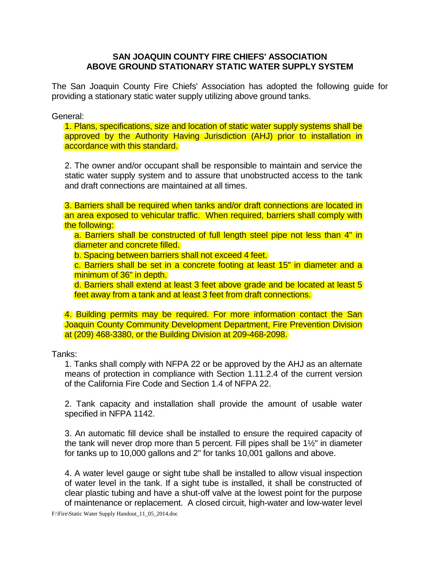## **SAN JOAQUIN COUNTY FIRE CHIEFS' ASSOCIATION ABOVE GROUND STATIONARY STATIC WATER SUPPLY SYSTEM**

The San Joaquin County Fire Chiefs' Association has adopted the following guide for providing a stationary static water supply utilizing above ground tanks.

General:

1. Plans, specifications, size and location of static water supply systems shall be approved by the Authority Having Jurisdiction (AHJ) prior to installation in accordance with this standard.

2. The owner and/or occupant shall be responsible to maintain and service the static water supply system and to assure that unobstructed access to the tank and draft connections are maintained at all times.

3. Barriers shall be required when tanks and/or draft connections are located in an area exposed to vehicular traffic. When required, barriers shall comply with the following:

a. Barriers shall be constructed of full length steel pipe not less than 4" in diameter and concrete filled.

b. Spacing between barriers shall not exceed 4 feet.

c. Barriers shall be set in a concrete footing at least 15" in diameter and a minimum of 36" in depth.

d. Barriers shall extend at least 3 feet above grade and be located at least 5 feet away from a tank and at least 3 feet from draft connections.

4. Building permits may be required. For more information contact the San Joaquin County Community Development Department, Fire Prevention Division at (209) 468-3380, or the Building Division at 209-468-2098.

Tanks:

1. Tanks shall comply with NFPA 22 or be approved by the AHJ as an alternate means of protection in compliance with Section 1.11.2.4 of the current version of the California Fire Code and Section 1.4 of NFPA 22.

2. Tank capacity and installation shall provide the amount of usable water specified in NFPA 1142.

3. An automatic fill device shall be installed to ensure the required capacity of the tank will never drop more than 5 percent. Fill pipes shall be 1½" in diameter for tanks up to 10,000 gallons and 2" for tanks 10,001 gallons and above.

4. A water level gauge or sight tube shall be installed to allow visual inspection of water level in the tank. If a sight tube is installed, it shall be constructed of clear plastic tubing and have a shut-off valve at the lowest point for the purpose of maintenance or replacement. A closed circuit, high-water and low-water level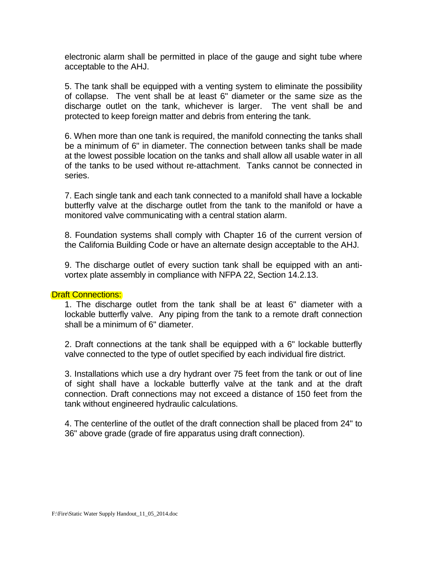electronic alarm shall be permitted in place of the gauge and sight tube where acceptable to the AHJ.

5. The tank shall be equipped with a venting system to eliminate the possibility of collapse. The vent shall be at least 6" diameter or the same size as the discharge outlet on the tank, whichever is larger. The vent shall be and protected to keep foreign matter and debris from entering the tank.

6. When more than one tank is required, the manifold connecting the tanks shall be a minimum of 6" in diameter. The connection between tanks shall be made at the lowest possible location on the tanks and shall allow all usable water in all of the tanks to be used without re-attachment. Tanks cannot be connected in series.

7. Each single tank and each tank connected to a manifold shall have a lockable butterfly valve at the discharge outlet from the tank to the manifold or have a monitored valve communicating with a central station alarm.

8. Foundation systems shall comply with Chapter 16 of the current version of the California Building Code or have an alternate design acceptable to the AHJ.

9. The discharge outlet of every suction tank shall be equipped with an antivortex plate assembly in compliance with NFPA 22, Section 14.2.13.

## **Draft Connections:**

1. The discharge outlet from the tank shall be at least 6" diameter with a lockable butterfly valve. Any piping from the tank to a remote draft connection shall be a minimum of 6" diameter.

2. Draft connections at the tank shall be equipped with a 6" lockable butterfly valve connected to the type of outlet specified by each individual fire district.

3. Installations which use a dry hydrant over 75 feet from the tank or out of line of sight shall have a lockable butterfly valve at the tank and at the draft connection. Draft connections may not exceed a distance of 150 feet from the tank without engineered hydraulic calculations.

4. The centerline of the outlet of the draft connection shall be placed from 24" to 36" above grade (grade of fire apparatus using draft connection).